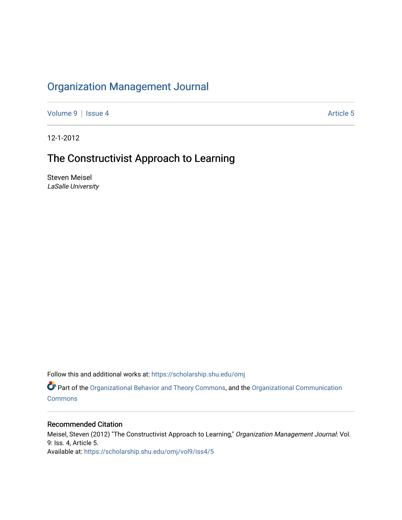# [Organization Management Journal](https://scholarship.shu.edu/omj)

[Volume 9](https://scholarship.shu.edu/omj/vol9) | [Issue 4](https://scholarship.shu.edu/omj/vol9/iss4) Article 5

12-1-2012

# The Constructivist Approach to Learning

Steven Meisel LaSalle University

Follow this and additional works at: [https://scholarship.shu.edu/omj](https://scholarship.shu.edu/omj?utm_source=scholarship.shu.edu%2Fomj%2Fvol9%2Fiss4%2F5&utm_medium=PDF&utm_campaign=PDFCoverPages) 

Part of the [Organizational Behavior and Theory Commons,](http://network.bepress.com/hgg/discipline/639?utm_source=scholarship.shu.edu%2Fomj%2Fvol9%2Fiss4%2F5&utm_medium=PDF&utm_campaign=PDFCoverPages) and the [Organizational Communication](http://network.bepress.com/hgg/discipline/335?utm_source=scholarship.shu.edu%2Fomj%2Fvol9%2Fiss4%2F5&utm_medium=PDF&utm_campaign=PDFCoverPages) **[Commons](http://network.bepress.com/hgg/discipline/335?utm_source=scholarship.shu.edu%2Fomj%2Fvol9%2Fiss4%2F5&utm_medium=PDF&utm_campaign=PDFCoverPages)** 

### Recommended Citation

Meisel, Steven (2012) "The Constructivist Approach to Learning," Organization Management Journal: Vol. 9: Iss. 4, Article 5. Available at: [https://scholarship.shu.edu/omj/vol9/iss4/5](https://scholarship.shu.edu/omj/vol9/iss4/5?utm_source=scholarship.shu.edu%2Fomj%2Fvol9%2Fiss4%2F5&utm_medium=PDF&utm_campaign=PDFCoverPages)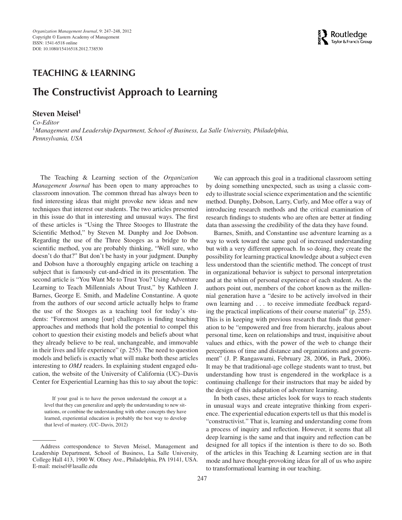

### **TEACHING & LEARNING**

## **The Constructivist Approach to Learning**

#### **Steven Meisel1**

*Co-Editor* <sup>1</sup>*Management and Leadership Department, School of Business, La Salle University, Philadelphia, Pennsylvania, USA*

The Teaching & Learning section of the *Organization Management Journal* has been open to many approaches to classroom innovation. The common thread has always been to find interesting ideas that might provoke new ideas and new techniques that interest our students. The two articles presented in this issue do that in interesting and unusual ways. The first of these articles is "Using the Three Stooges to Illustrate the Scientific Method," by Steven M. Dunphy and Joe Dobson. Regarding the use of the Three Stooges as a bridge to the scientific method, you are probably thinking, "Well sure, who doesn't do that?" But don't be hasty in your judgment. Dunphy and Dobson have a thoroughly engaging article on teaching a subject that is famously cut-and-dried in its presentation. The second article is "You Want Me to Trust You? Using Adventure Learning to Teach Millennials About Trust," by Kathleen J. Barnes, George E. Smith, and Madeline Constantine. A quote from the authors of our second article actually helps to frame the use of the Stooges as a teaching tool for today's students: "Foremost among [our] challenges is finding teaching approaches and methods that hold the potential to compel this cohort to question their existing models and beliefs about what they already believe to be real, unchangeable, and immovable in their lives and life experience" (p. 255). The need to question models and beliefs is exactly what will make both these articles interesting to *OMJ* readers. In explaining student engaged education, the website of the University of California (UC)–Davis Center for Experiential Learning has this to say about the topic:

If your goal is to have the person understand the concept at a level that they can generalize and apply the understanding to new situations, or combine the understanding with other concepts they have learned, experiential education is probably the best way to develop that level of mastery. (UC–Davis, 2012)

We can approach this goal in a traditional classroom setting by doing something unexpected, such as using a classic comedy to illustrate social science experimentation and the scientific method. Dunphy, Dobson, Larry, Curly, and Moe offer a way of introducing research methods and the critical examination of research findings to students who are often are better at finding data than assessing the credibility of the data they have found.

Barnes, Smith, and Constantine use adventure learning as a way to work toward the same goal of increased understanding but with a very different approach. In so doing, they create the possibility for learning practical knowledge about a subject even less understood than the scientific method. The concept of trust in organizational behavior is subject to personal interpretation and at the whim of personal experience of each student. As the authors point out, members of the cohort known as the millennial generation have a "desire to be actively involved in their own learning and *...* to receive immediate feedback regarding the practical implications of their course material" (p. 255). This is in keeping with previous research that finds that generation to be "empowered and free from hierarchy, jealous about personal time, keen on relationships and trust, inquisitive about values and ethics, with the power of the web to change their perceptions of time and distance and organizations and government" (J. P. Rangaswami, February 28, 2006, in Park, 2006). It may be that traditional-age college students want to trust, but understanding how trust is engendered in the workplace is a continuing challenge for their instructors that may be aided by the design of this adaptation of adventure learning.

In both cases, these articles look for ways to reach students in unusual ways and create integrative thinking from experience. The experiential education experts tell us that this model is "constructivist." That is, learning and understanding come from a process of inquiry and reflection. However, it seems that all deep learning is the same and that inquiry and reflection can be designed for all topics if the intention is there to do so. Both of the articles in this Teaching & Learning section are in that mode and have thought-provoking ideas for all of us who aspire to transformational learning in our teaching.

Address correspondence to Steven Meisel, Management and Leadership Department, School of Business, La Salle University, College Hall 413, 1900 W. Olney Ave., Philadelphia, PA 19141, USA. E-mail: meisel@lasalle.edu